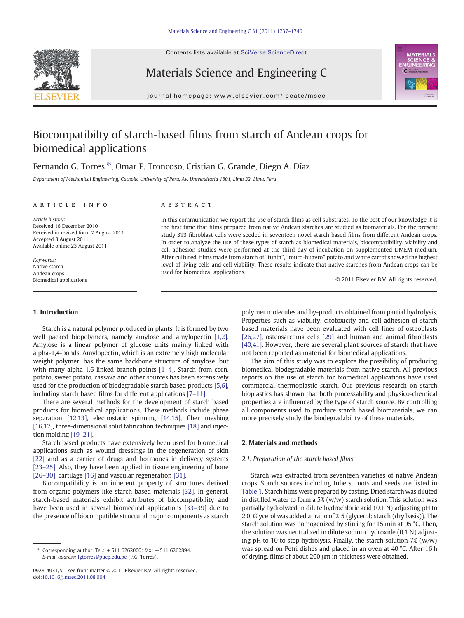Contents lists available at SciVerse ScienceDirect







journal homepage: www.elsevier.com/locate/msec

# Biocompatibilty of starch-based films from starch of Andean crops for biomedical applications

## Fernando G. Torres \*, Omar P. Troncoso, Cristian G. Grande, Diego A. Díaz

Department of Mechanical Engineering, Catholic University of Peru, Av. Universitaria 1801, Lima 32, Lima, Peru

#### article info abstract

Article history: Received 16 December 2010 Received in revised form 7 August 2011 Accepted 8 August 2011 Available online 23 August 2011

Keywords: Native starch Andean crops Biomedical applications

#### 1. Introduction

Starch is a natural polymer produced in plants. It is formed by two well packed biopolymers, namely amylose and amylopectin [\[1,2\].](#page-2-0) Amylose is a linear polymer of glucose units mainly linked with alpha-1,4-bonds. Amylopectin, which is an extremely high molecular weight polymer, has the same backbone structure of amylose, but with many alpha-1,6-linked branch points [\[1](#page-2-0)–4]. Starch from corn, potato, sweet potato, cassava and other sources has been extensively used for the production of biodegradable starch based products [\[5,6\],](#page-2-0) including starch based films for different applications [7–[11\].](#page-2-0)

There are several methods for the development of starch based products for biomedical applications. These methods include phase separation [\[12,13\]](#page-2-0), electrostatic spinning [\[14,15\],](#page-2-0) fiber meshing [\[16,17\],](#page-2-0) three-dimensional solid fabrication techniques [\[18\]](#page-2-0) and injection molding [19–[21\]](#page-2-0).

Starch based products have extensively been used for biomedical applications such as wound dressings in the regeneration of skin [\[22\]](#page-2-0) and as a carrier of drugs and hormones in delivery systems [23–[25\].](#page-2-0) Also, they have been applied in tissue engineering of bone [26–[30\],](#page-2-0) cartilage [\[16\]](#page-2-0) and vascular regeneration [\[31\].](#page-3-0)

Biocompatibility is an inherent property of structures derived from organic polymers like starch based materials [\[32\]](#page-3-0). In general, starch-based materials exhibit attributes of biocompatibility and have been used in several biomedical applications [\[33](#page-3-0)–39] due to the presence of biocompatible structural major components as starch

In this communication we report the use of starch films as cell substrates. To the best of our knowledge it is the first time that films prepared from native Andean starches are studied as biomaterials. For the present study 3T3 fibroblast cells were seeded in seventeen novel starch based films from different Andean crops. In order to analyze the use of these types of starch as biomedical materials, biocompatibility, viability and cell adhesion studies were performed at the third day of incubation on supplemented DMEM medium. After cultured, films made from starch of "tunta", "muro-huayro" potato and white carrot showed the highest level of living cells and cell viability. These results indicate that native starches from Andean crops can be used for biomedical applications.

© 2011 Elsevier B.V. All rights reserved.

polymer molecules and by-products obtained from partial hydrolysis. Properties such as viability, citotoxicity and cell adhesion of starch based materials have been evaluated with cell lines of osteoblasts [\[26,27\]](#page-2-0), osteosarcoma cells [\[29\]](#page-3-0) and human and animal fibroblasts [\[40,41\]](#page-3-0). However, there are several plant sources of starch that have not been reported as material for biomedical applications.

The aim of this study was to explore the possibility of producing biomedical biodegradable materials from native starch. All previous reports on the use of starch for biomedical applications have used commercial thermoplastic starch. Our previous research on starch bioplastics has shown that both processability and physico-chemical properties are influenced by the type of starch source. By controlling all components used to produce starch based biomaterials, we can more precisely study the biodegradability of these materials.

#### 2. Materials and methods

#### 2.1. Preparation of the starch based films

Starch was extracted from seventeen varieties of native Andean crops. Starch sources including tubers, roots and seeds are listed in [Table 1](#page-1-0). Starch films were prepared by casting. Dried starch was diluted in distilled water to form a 5% (w/w) starch solution. This solution was partially hydrolyzed in dilute hydrochloric acid (0.1 N) adjusting pH to 2.0. Glycerol was added at ratio of 2:5 (glycerol: starch (dry basis)). The starch solution was homogenized by stirring for 15 min at 95 °C. Then, the solution was neutralized in dilute sodium hydroxide (0.1 N) adjusting pH to 10 to stop hydrolysis. Finally, the starch solution 7% (w/w) was spread on Petri dishes and placed in an oven at 40 °C. After 16 h of drying, films of about 200 μm in thickness were obtained.

Corresponding author. Tel.: +511 6262000; fax: +511 6262894. E-mail address: [fgtorres@pucp.edu.pe](mailto:fgtorres@pucp.edu.pe) (F.G. Torres).

<sup>0928-4931/\$</sup> – see front matter © 2011 Elsevier B.V. All rights reserved. doi:[10.1016/j.msec.2011.08.004](http://dx.doi.org/10.1016/j.msec.2011.08.004)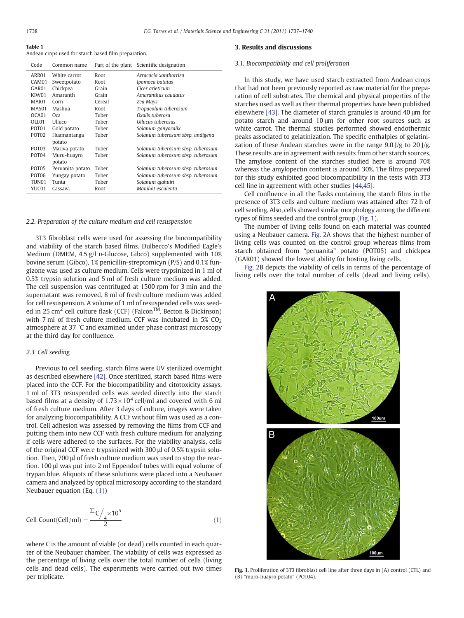<span id="page-1-0"></span>

| IMMIN I                                              |  |  |  |
|------------------------------------------------------|--|--|--|
| Andean crops used for starch based film preparation. |  |  |  |

| Code              | Common name      |        | Part of the plant Scientific designation |
|-------------------|------------------|--------|------------------------------------------|
| ARR01             | White carrot     | Root   | Arracacia xanthorriza                    |
| CAM01             | Sweetpotato      | Root   | Ipomoea batatas                          |
| GAR01             | Chickpea         | Grain  | Cicer arieticum                          |
| KIW01             | Amaranth         | Grain  | Amaranthus caudatus                      |
| <b>MAI01</b>      | Corn             | Cereal | Zea Mays                                 |
| MAS01             | Mashua           | Root   | Tropaeolum tuberosum                     |
| OCA01             | Oca              | Tuber  | Oxalis tuberosa                          |
| OLL01             | Ulluco           | Tuber  | Ullucus tuberosus                        |
| POT <sub>01</sub> | Gold potato      | Tuber  | Solanum gonyocalix                       |
| POT <sub>02</sub> | Huamantanga      | Tuber  | Solanum tuberosum sbsp. andigena         |
|                   | potato           |        |                                          |
| POT <sub>03</sub> | Mariva potato    | Tuber  | Solanum tuberosum sbsp. tuberosum        |
| POT <sub>04</sub> | Muru-huayro      | Tuber  | Solanum tuberosum sbsp. tuberosum        |
|                   | potato           |        |                                          |
| POT <sub>05</sub> | Peruanita potato | Tuber  | Solanum tuberosum sbsp. tuberosum        |
| POT <sub>06</sub> | Yungay potato    | Tuber  | Solanum tuberosum sbsp. tuberosum        |
| TUN <sub>01</sub> | Tunta            | Tuber  | Solanum ajahuiri                         |
| YUC01             | Cassava          | Root   | Manihot esculenta                        |

#### 2.2. Preparation of the culture medium and cell resuspension

3T3 fibroblast cells were used for assessing the biocompatibility and viability of the starch based films. Dulbecco's Modified Eagle's Medium (DMEM, 4.5 g/l D-Glucose, Gibco) supplemented with 10% bovine serum (Gibco), 1% penicillin-streptomicyn (P/S) and 0.1% fungizone was used as culture medium. Cells were trypsinized in 1 ml of 0.5% trypsin solution and 5 ml of fresh culture medium was added. The cell suspension was centrifuged at 1500 rpm for 3 min and the supernatant was removed. 8 ml of fresh culture medium was added for cell resuspension. A volume of 1 ml of resuspended cells was seeded in 25 cm<sup>2</sup> cell culture flask (CCF) (Falcon<sup>™</sup>, Becton & Dickinson) with 7 ml of fresh culture medium. CCF was incubated in  $5\%$  CO<sub>2</sub> atmosphere at 37 °C and examined under phase contrast microscopy at the third day for confluence.

#### 2.3. Cell seeding

Previous to cell seeding, starch films were UV sterilized overnight as described elsewhere [\[42\]](#page-3-0). Once sterilized, starch based films were placed into the CCF. For the biocompatibility and citotoxicity assays, 1 ml of 3T3 resuspended cells was seeded directly into the starch based films at a density of  $1.73 \times 10^4$  cell/ml and covered with 6 ml of fresh culture medium. After 3 days of culture, images were taken for analyzing biocompatibility. A CCF without film was used as a control. Cell adhesion was assessed by removing the films from CCF and putting them into new CCF with fresh culture medium for analyzing if cells were adhered to the surfaces. For the viability analysis, cells of the original CCF were trypsinized with 300 μl of 0.5% trypsin solution. Then, 700 μl of fresh culture medium was used to stop the reaction. 100 μl was put into 2 ml Eppendorf tubes with equal volume of trypan blue. Aliquots of these solutions were placed into a Neubauer camera and analyzed by optical microscopy according to the standard Neubauer equation (Eq. (1))

$$
Cell Count(Cell/ml) = \frac{\sum_{i} \frac{1}{\sqrt{10^5}}}{2}
$$
 (1)

where C is the amount of viable (or dead) cells counted in each quarter of the Neubauer chamber. The viability of cells was expressed as the percentage of living cells over the total number of cells (living cells and dead cells). The experiments were carried out two times per triplicate.

#### 3. Results and discussions

#### 3.1. Biocompatibility and cell proliferation

In this study, we have used starch extracted from Andean crops that had not been previously reported as raw material for the preparation of cell substrates. The chemical and physical properties of the starches used as well as their thermal properties have been published elsewhere [\[43\]](#page-3-0). The diameter of starch granules is around 40 μm for potato starch and around 10 μm for other root sources such as white carrot. The thermal studies performed showed endothermic peaks associated to gelatinization. The specific enthalpies of gelatinization of these Andean starches were in the range  $9.0$   $\frac{1}{g}$  to  $20$   $\frac{1}{g}$ . These results are in agreement with results from other starch sources. The amylose content of the starches studied here is around 70% whereas the amylopectin content is around 30%. The films prepared for this study exhibited good biocompatibility in the tests with 3T3 cell line in agreement with other studies [\[44,45\]](#page-3-0).

Cell confluence in all the flasks containing the starch films in the presence of 3T3 cells and culture medium was attained after 72 h of cell seeding. Also, cells showed similar morphology among the different types of films seeded and the control group (Fig. 1).

The number of living cells found on each material was counted using a Neubauer camera. [Fig. 2](#page-2-0)A shows that the highest number of living cells was counted on the control group whereas films from starch obtained from "peruanita" potato (POT05) and chickpea (GAR01) showed the lowest ability for hosting living cells.

[Fig. 2](#page-2-0)B depicts the viability of cells in terms of the percentage of living cells over the total number of cells (dead and living cells).



Fig. 1. Proliferation of 3T3 fibroblast cell line after three days in (A) control (CTL) and (B) "muro-huayro potato" (POT04).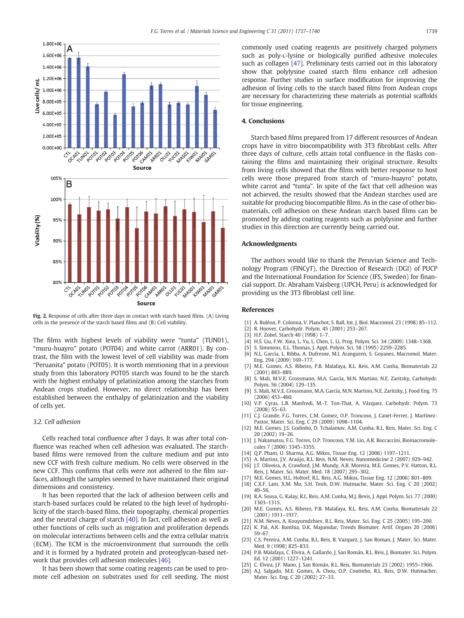<span id="page-2-0"></span>

Fig. 2. Response of cells after three days in contact with starch based films. (A) Living cells in the presence of the starch based films and (B) Cell viability.

The films with highest levels of viability were "tunta" (TUN01), "muru-huayro" potato (POT04) and white carrot (ARR01). By contrast, the film with the lowest level of cell viability was made from "Peruanita" potato (POT05). It is worth mentioning that in a previous study from this laboratory POT05 starch was found to be the starch with the highest enthalpy of gelatinization among the starches from Andean crops studied. However, no direct relationship has been established between the enthalpy of gelatinization and the viability of cells yet.

#### 3.2. Cell adhesion

Cells reached total confluence after 3 days. It was after total confluence was reached when cell adhesion was evaluated. The starchbased films were removed from the culture medium and put into new CCF with fresh culture medium. No cells were observed in the new CCF. This confirms that cells were not adhered to the film surfaces, although the samples seemed to have maintained their original dimensions and consistency.

It has been reported that the lack of adhesion between cells and starch-based surfaces could be related to the high level of hydrophilicity of the starch-based films, their topography, chemical properties and the neutral charge of starch [\[40\].](#page-3-0) In fact, cell adhesion as well as other functions of cells such as migration and proliferation depends on molecular interactions between cells and the extra cellular matrix (ECM). The ECM is the microenvironment that surrounds the cells and it is formed by a hydrated protein and proteoglycan-based network that provides cell adhesion molecules [\[46\]](#page-3-0).

It has been shown that some coating reagents can be used to promote cell adhesion on substrates used for cell seeding. The most commonly used coating reagents are positively charged polymers such as poly-L-lysine or biologically purified adhesive molecules such as collagen [\[47\].](#page-3-0) Preliminary tests carried out in this laboratory show that polylysine coated starch films enhance cell adhesion response. Further studies in surface modification for improving the adhesion of living cells to the starch based films from Andean crops are necessary for characterizing these materials as potential scaffolds for tissue engineering.

### 4. Conclusions

Starch based films prepared from 17 different resources of Andean crops have in vitro biocompatibility with 3T3 fibroblast cells. After three days of culture, cells attain total confluence in the flasks containing the films and maintaining their original structure. Results from living cells showed that the films with better response to host cells were those prepared from starch of "muro-huayro" potato, white carrot and "tunta". In spite of the fact that cell adhesion was not achieved, the results showed that the Andean starches used are suitable for producing biocompatible films. As in the case of other biomaterials, cell adhesion on these Andean starch based films can be promoted by adding coating reagents such as polylysine and further studies in this direction are currently being carried out.

#### Acknowledgments

The authors would like to thank the Peruvian Science and Technology Program (FINCyT), the Direction of Research (DGI) of PUCP and the International Foundation for Science (IFS, Sweden) for financial support. Dr. Abraham Vaisberg (UPCH, Peru) is acknowledged for providing us the 3T3 fibroblast cell line.

#### References

- [1] A. Buléon, P. Colonna, V. Planchot, S. Ball, Int. J. Biol. Macromol. 23 (1998) 85–112.
- [2] R. Hoover, Carbohydr. Polym. 45 (2001) 253–267.
- [3] H.F. Zobel, Starch 40 (1998) 1–7.
- [4] H.S. Liu, F.W. Xiea, L. Yu, L. Chen, L. Li, Prog. Polym. Sci. 34 (2009) 1348–1368.
- S. Simmons, E.L. Thomas, J. Appl. Polym. Sci. 58 (1995) 2259-2285.
- [6] N.L. García, L. Ribba, A. Dufresne, M.I. Aranguren, S. Goyanes, Macromol. Mater. Eng. 294 (2009) 169–177.
- [7] M.E. Gomes, A.S. Ribeiro, P.B. Malafaya, R.L. Reis, A.M. Cunha, Biomaterials 22 (2001) 883–889.
- [8] S. Mali, M.V.E. Grossmann, M.A. García, M.N. Martino, N.E. Zaritzky, Carbohydr. Polym. 56 (2004) 129–135.
- [9] S. Mali, M.V.E. Grossmann, M.A. García, M.N. Martino, N.E. Zaritzky, J. Food Eng. 75 (2006) 453–460.
- [10] V.P. Cyras, L.B. Manfredi, M.-T. Ton-That, A. Vázquez, Carbohydr. Polym. 73 (2008) 55–63.
- [11] C.J. Grande, F.G. Torres, C.M. Gomez, O.P. Troncoso, J. Canet-Ferrer, J. Martínez-Pastor, Mater. Sci. Eng. C 29 (2009) 1098–1104.
- [12] M.E. Gomes, J.S. Godinho, D. Tchalamov, A.M. Cunha, R.L. Reis, Mater. Sci. Eng. C 20 (2002) 19–26.
- [13] J. Nakamatsu, F.G. Torres, O.P. Troncoso, Y.M. Lin, A.R. Boccaccini, Biomacromolecules 7 (2006) 3345–3355.
- [14] Q.P. Pham, U. Sharma, A.G. Mikos, Tissue Eng. 12 (2006) 1197–1211.
- [15] A. Martins, J.V. Araújo, R.L. Reis, N.M. Neves, Nanomedicine 2 (2007) 929–942.
- [16] J.T. Oliveira, A. Crawford, J.M. Mundy, A.R. Moreira, M.E. Gomes, P.V. Hatton, R.L. Reis, J. Mater. Sci. Mater. Med. 18 (2007) 295–302.
- [17] M.E. Gomes, H.L. Holtorf, R.L. Reis, A.G. Mikos, Tissue Eng. 12 (2006) 801–809.
- [18] C.X.F. Lam, X.M. Mo, S.H. Teoh, D.W. Hutmache, Mater. Sci. Eng. C 20 (2002) 49–56.
- [19] R.A. Sousa, G. Kalay, R.L. Reis, A.M. Cunha, M.J. Bevis, J. Appl. Polym. Sci. 77 (2000) 1303–1315.
- [20] M.E. Gomes, A.S. Ribeiro, P.B. Malafaya, R.L. Reis, A.M. Cunha, Biomaterials 22 (2001) 1911–1917.
- [21] N.M. Neves, A. Kouyumdzhiev, R.L. Reis, Mater. Sci. Eng. C 25 (2005) 195–200.
- [22] K. Pal, A.K. Banthia, D.K. Majumdar, Trends Biomater. Artif. Organs 20 (2006) 59–67.
- [23] C.S. Pereira, A.M. Cunha, R.L. Reis, B. Vazquez, J. San Roman, J. Mater. Sci. Mater. Med. 9 (1998) 825–833.
- [24] P.B. Malafaya, C. Elvira, A. Gallardo, J. San Román, R.L. Reis, J. Biomater. Sci. Polym. Ed. 12 (2001) 1227–1241.
- [25] C. Elvira, J.F. Mano, J. San Román, R.L. Reis, Biomaterials 23 (2002) 1955–1966. [26] A.J. Salgado, M.E. Gomes, A. Chou, O.P. Coutinho, R.L. Reis, D.W. Hutmacher, Mater. Sci. Eng. C 20 (2002) 27–33.